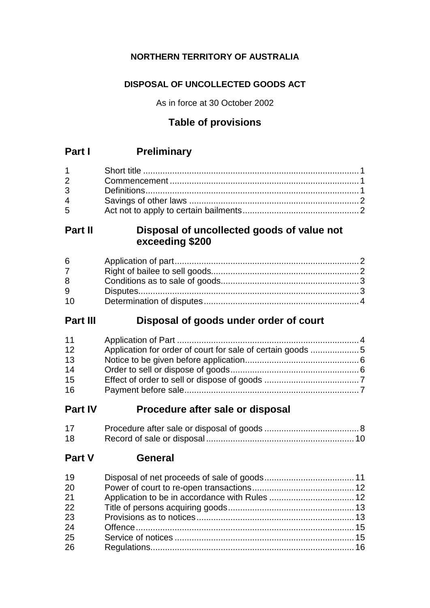# **NORTHERN TERRITORY OF AUSTRALIA**

# **DISPOSAL OF UNCOLLECTED GOODS ACT**

As in force at 30 October 2002

# **Table of provisions**

# **Part I Preliminary**

| $1 \quad \Box$                 |  |
|--------------------------------|--|
| $2 \left( \frac{1}{2} \right)$ |  |
| $3^{\circ}$                    |  |
| $\overline{4}$                 |  |
| $5^{\circ}$                    |  |

# **Part II Disposal of uncollected goods of value not exceeding \$200**

| 6 <sup>1</sup> |  |
|----------------|--|
| $7^{\circ}$    |  |
| 8              |  |
| 9              |  |
| 10             |  |

# **Part III Disposal of goods under order of court**

| 11 |  |
|----|--|
| 12 |  |
| 13 |  |
| 14 |  |
| 15 |  |
| 16 |  |

# **Part IV Procedure after sale or disposal**

| 17 |  |
|----|--|
| 18 |  |

# **Part V General**

| 19 |  |
|----|--|
| 20 |  |
| 21 |  |
| 22 |  |
| 23 |  |
| 24 |  |
| 25 |  |
| 26 |  |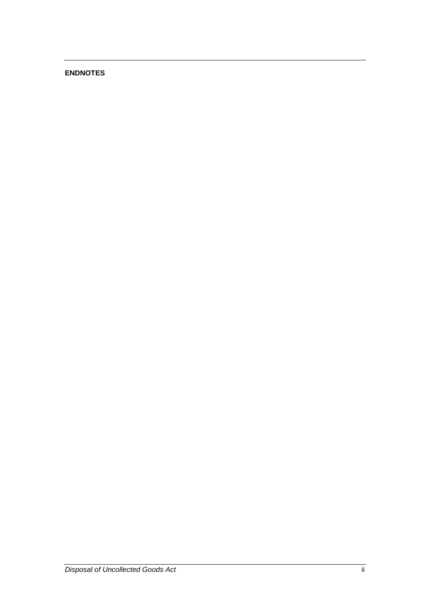# **ENDNOTES**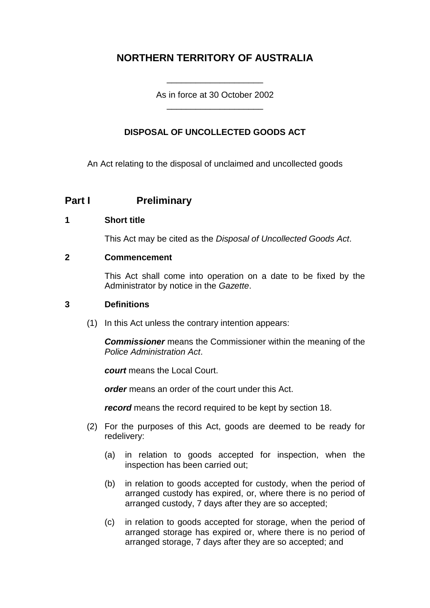# **NORTHERN TERRITORY OF AUSTRALIA**

As in force at 30 October 2002 \_\_\_\_\_\_\_\_\_\_\_\_\_\_\_\_\_\_\_\_

\_\_\_\_\_\_\_\_\_\_\_\_\_\_\_\_\_\_\_\_

# **DISPOSAL OF UNCOLLECTED GOODS ACT**

An Act relating to the disposal of unclaimed and uncollected goods

# **Part I Preliminary**

## **1 Short title**

This Act may be cited as the *Disposal of Uncollected Goods Act*.

## **2 Commencement**

This Act shall come into operation on a date to be fixed by the Administrator by notice in the *Gazette*.

#### **3 Definitions**

(1) In this Act unless the contrary intention appears:

*Commissioner* means the Commissioner within the meaning of the *Police Administration Act*.

*court* means the Local Court.

*order* means an order of the court under this Act.

*record* means the record required to be kept by section 18.

- (2) For the purposes of this Act, goods are deemed to be ready for redelivery:
	- (a) in relation to goods accepted for inspection, when the inspection has been carried out;
	- (b) in relation to goods accepted for custody, when the period of arranged custody has expired, or, where there is no period of arranged custody, 7 days after they are so accepted;
	- (c) in relation to goods accepted for storage, when the period of arranged storage has expired or, where there is no period of arranged storage, 7 days after they are so accepted; and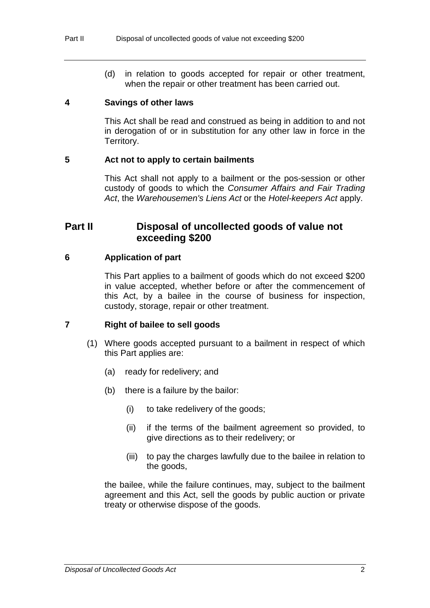(d) in relation to goods accepted for repair or other treatment, when the repair or other treatment has been carried out.

## **4 Savings of other laws**

This Act shall be read and construed as being in addition to and not in derogation of or in substitution for any other law in force in the Territory.

## **5 Act not to apply to certain bailments**

This Act shall not apply to a bailment or the pos-session or other custody of goods to which the *Consumer Affairs and Fair Trading Act*, the *Warehousemen's Liens Act* or the *Hotel-keepers Act* apply.

# **Part II Disposal of uncollected goods of value not exceeding \$200**

## **6 Application of part**

This Part applies to a bailment of goods which do not exceed \$200 in value accepted, whether before or after the commencement of this Act, by a bailee in the course of business for inspection, custody, storage, repair or other treatment.

## **7 Right of bailee to sell goods**

- (1) Where goods accepted pursuant to a bailment in respect of which this Part applies are:
	- (a) ready for redelivery; and
	- (b) there is a failure by the bailor:
		- (i) to take redelivery of the goods;
		- (ii) if the terms of the bailment agreement so provided, to give directions as to their redelivery; or
		- (iii) to pay the charges lawfully due to the bailee in relation to the goods,

the bailee, while the failure continues, may, subject to the bailment agreement and this Act, sell the goods by public auction or private treaty or otherwise dispose of the goods.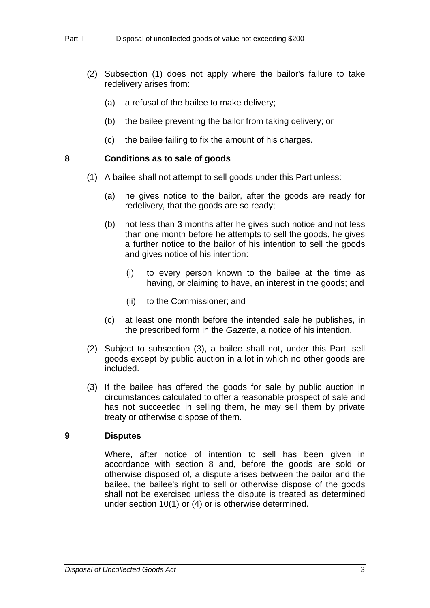- (2) Subsection (1) does not apply where the bailor's failure to take redelivery arises from:
	- (a) a refusal of the bailee to make delivery;
	- (b) the bailee preventing the bailor from taking delivery; or
	- (c) the bailee failing to fix the amount of his charges.

#### **8 Conditions as to sale of goods**

- (1) A bailee shall not attempt to sell goods under this Part unless:
	- (a) he gives notice to the bailor, after the goods are ready for redelivery, that the goods are so ready;
	- (b) not less than 3 months after he gives such notice and not less than one month before he attempts to sell the goods, he gives a further notice to the bailor of his intention to sell the goods and gives notice of his intention:
		- (i) to every person known to the bailee at the time as having, or claiming to have, an interest in the goods; and
		- (ii) to the Commissioner; and
	- (c) at least one month before the intended sale he publishes, in the prescribed form in the *Gazette*, a notice of his intention.
- (2) Subject to subsection (3), a bailee shall not, under this Part, sell goods except by public auction in a lot in which no other goods are included.
- (3) If the bailee has offered the goods for sale by public auction in circumstances calculated to offer a reasonable prospect of sale and has not succeeded in selling them, he may sell them by private treaty or otherwise dispose of them.

#### **9 Disputes**

Where, after notice of intention to sell has been given in accordance with section 8 and, before the goods are sold or otherwise disposed of, a dispute arises between the bailor and the bailee, the bailee's right to sell or otherwise dispose of the goods shall not be exercised unless the dispute is treated as determined under section 10(1) or (4) or is otherwise determined.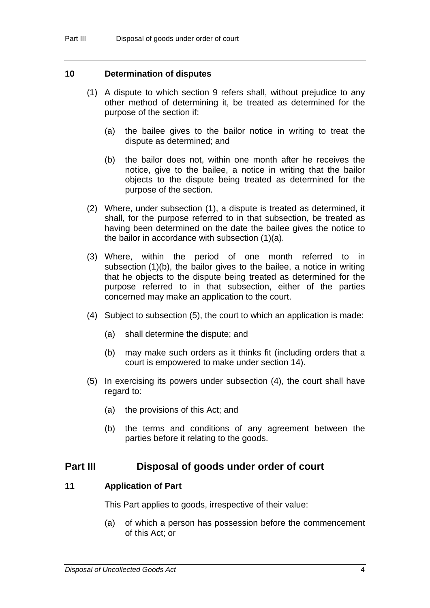#### **10 Determination of disputes**

- (1) A dispute to which section 9 refers shall, without prejudice to any other method of determining it, be treated as determined for the purpose of the section if:
	- (a) the bailee gives to the bailor notice in writing to treat the dispute as determined; and
	- (b) the bailor does not, within one month after he receives the notice, give to the bailee, a notice in writing that the bailor objects to the dispute being treated as determined for the purpose of the section.
- (2) Where, under subsection (1), a dispute is treated as determined, it shall, for the purpose referred to in that subsection, be treated as having been determined on the date the bailee gives the notice to the bailor in accordance with subsection (1)(a).
- (3) Where, within the period of one month referred to in subsection (1)(b), the bailor gives to the bailee, a notice in writing that he objects to the dispute being treated as determined for the purpose referred to in that subsection, either of the parties concerned may make an application to the court.
- (4) Subject to subsection (5), the court to which an application is made:
	- (a) shall determine the dispute; and
	- (b) may make such orders as it thinks fit (including orders that a court is empowered to make under section 14).
- (5) In exercising its powers under subsection (4), the court shall have regard to:
	- (a) the provisions of this Act; and
	- (b) the terms and conditions of any agreement between the parties before it relating to the goods.

# **Part III Disposal of goods under order of court**

# **11 Application of Part**

This Part applies to goods, irrespective of their value:

(a) of which a person has possession before the commencement of this Act; or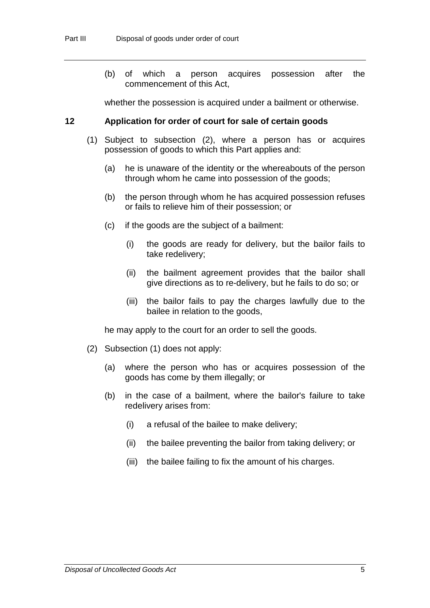(b) of which a person acquires possession after the commencement of this Act,

whether the possession is acquired under a bailment or otherwise.

#### **12 Application for order of court for sale of certain goods**

- (1) Subject to subsection (2), where a person has or acquires possession of goods to which this Part applies and:
	- (a) he is unaware of the identity or the whereabouts of the person through whom he came into possession of the goods;
	- (b) the person through whom he has acquired possession refuses or fails to relieve him of their possession; or
	- (c) if the goods are the subject of a bailment:
		- (i) the goods are ready for delivery, but the bailor fails to take redelivery;
		- (ii) the bailment agreement provides that the bailor shall give directions as to re-delivery, but he fails to do so; or
		- (iii) the bailor fails to pay the charges lawfully due to the bailee in relation to the goods,

he may apply to the court for an order to sell the goods.

- (2) Subsection (1) does not apply:
	- (a) where the person who has or acquires possession of the goods has come by them illegally; or
	- (b) in the case of a bailment, where the bailor's failure to take redelivery arises from:
		- (i) a refusal of the bailee to make delivery;
		- (ii) the bailee preventing the bailor from taking delivery; or
		- (iii) the bailee failing to fix the amount of his charges.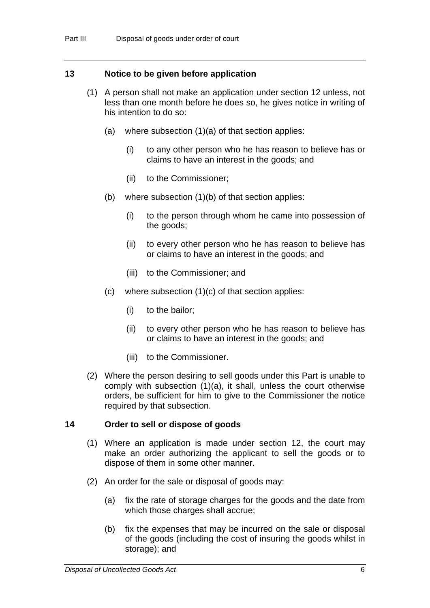## **13 Notice to be given before application**

- (1) A person shall not make an application under section 12 unless, not less than one month before he does so, he gives notice in writing of his intention to do so:
	- (a) where subsection (1)(a) of that section applies:
		- (i) to any other person who he has reason to believe has or claims to have an interest in the goods; and
		- (ii) to the Commissioner;
	- (b) where subsection (1)(b) of that section applies:
		- (i) to the person through whom he came into possession of the goods;
		- (ii) to every other person who he has reason to believe has or claims to have an interest in the goods; and
		- (iii) to the Commissioner; and
	- (c) where subsection (1)(c) of that section applies:
		- (i) to the bailor;
		- (ii) to every other person who he has reason to believe has or claims to have an interest in the goods; and
		- (iii) to the Commissioner.
- (2) Where the person desiring to sell goods under this Part is unable to comply with subsection (1)(a), it shall, unless the court otherwise orders, be sufficient for him to give to the Commissioner the notice required by that subsection.

## **14 Order to sell or dispose of goods**

- (1) Where an application is made under section 12, the court may make an order authorizing the applicant to sell the goods or to dispose of them in some other manner.
- (2) An order for the sale or disposal of goods may:
	- (a) fix the rate of storage charges for the goods and the date from which those charges shall accrue;
	- (b) fix the expenses that may be incurred on the sale or disposal of the goods (including the cost of insuring the goods whilst in storage); and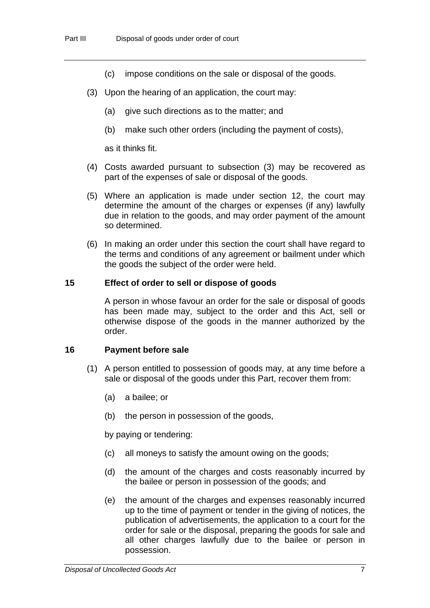- (c) impose conditions on the sale or disposal of the goods.
- (3) Upon the hearing of an application, the court may:
	- (a) give such directions as to the matter; and
	- (b) make such other orders (including the payment of costs),

as it thinks fit.

- (4) Costs awarded pursuant to subsection (3) may be recovered as part of the expenses of sale or disposal of the goods.
- (5) Where an application is made under section 12, the court may determine the amount of the charges or expenses (if any) lawfully due in relation to the goods, and may order payment of the amount so determined.
- (6) In making an order under this section the court shall have regard to the terms and conditions of any agreement or bailment under which the goods the subject of the order were held.

#### **15 Effect of order to sell or dispose of goods**

A person in whose favour an order for the sale or disposal of goods has been made may, subject to the order and this Act, sell or otherwise dispose of the goods in the manner authorized by the order.

#### **16 Payment before sale**

- (1) A person entitled to possession of goods may, at any time before a sale or disposal of the goods under this Part, recover them from:
	- (a) a bailee; or
	- (b) the person in possession of the goods,

by paying or tendering:

- (c) all moneys to satisfy the amount owing on the goods;
- (d) the amount of the charges and costs reasonably incurred by the bailee or person in possession of the goods; and
- (e) the amount of the charges and expenses reasonably incurred up to the time of payment or tender in the giving of notices, the publication of advertisements, the application to a court for the order for sale or the disposal, preparing the goods for sale and all other charges lawfully due to the bailee or person in possession.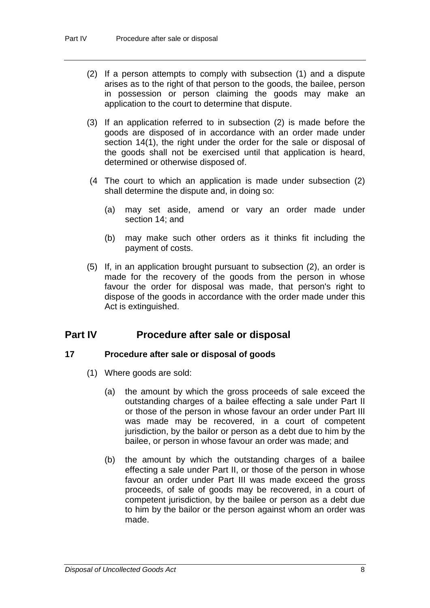- (2) If a person attempts to comply with subsection (1) and a dispute arises as to the right of that person to the goods, the bailee, person in possession or person claiming the goods may make an application to the court to determine that dispute.
- (3) If an application referred to in subsection (2) is made before the goods are disposed of in accordance with an order made under section 14(1), the right under the order for the sale or disposal of the goods shall not be exercised until that application is heard, determined or otherwise disposed of.
- (4 The court to which an application is made under subsection (2) shall determine the dispute and, in doing so:
	- (a) may set aside, amend or vary an order made under section 14; and
	- (b) may make such other orders as it thinks fit including the payment of costs.
- (5) If, in an application brought pursuant to subsection (2), an order is made for the recovery of the goods from the person in whose favour the order for disposal was made, that person's right to dispose of the goods in accordance with the order made under this Act is extinguished.

# **Part IV Procedure after sale or disposal**

## **17 Procedure after sale or disposal of goods**

- (1) Where goods are sold:
	- (a) the amount by which the gross proceeds of sale exceed the outstanding charges of a bailee effecting a sale under Part II or those of the person in whose favour an order under Part III was made may be recovered, in a court of competent jurisdiction, by the bailor or person as a debt due to him by the bailee, or person in whose favour an order was made; and
	- (b) the amount by which the outstanding charges of a bailee effecting a sale under Part II, or those of the person in whose favour an order under Part III was made exceed the gross proceeds, of sale of goods may be recovered, in a court of competent jurisdiction, by the bailee or person as a debt due to him by the bailor or the person against whom an order was made.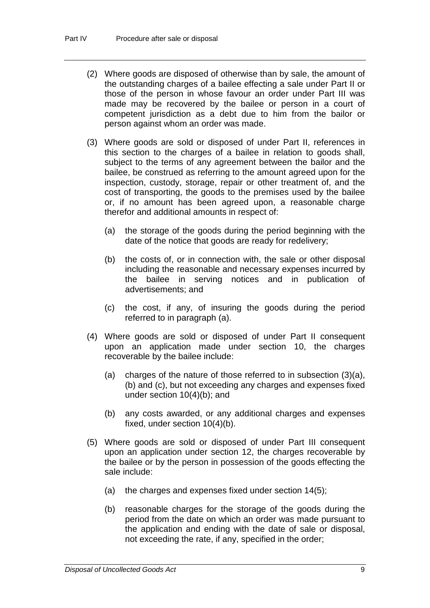- (2) Where goods are disposed of otherwise than by sale, the amount of the outstanding charges of a bailee effecting a sale under Part II or those of the person in whose favour an order under Part III was made may be recovered by the bailee or person in a court of competent jurisdiction as a debt due to him from the bailor or person against whom an order was made.
- (3) Where goods are sold or disposed of under Part II, references in this section to the charges of a bailee in relation to goods shall, subject to the terms of any agreement between the bailor and the bailee, be construed as referring to the amount agreed upon for the inspection, custody, storage, repair or other treatment of, and the cost of transporting, the goods to the premises used by the bailee or, if no amount has been agreed upon, a reasonable charge therefor and additional amounts in respect of:
	- (a) the storage of the goods during the period beginning with the date of the notice that goods are ready for redelivery;
	- (b) the costs of, or in connection with, the sale or other disposal including the reasonable and necessary expenses incurred by the bailee in serving notices and in publication of advertisements; and
	- (c) the cost, if any, of insuring the goods during the period referred to in paragraph (a).
- (4) Where goods are sold or disposed of under Part II consequent upon an application made under section 10, the charges recoverable by the bailee include:
	- (a) charges of the nature of those referred to in subsection (3)(a), (b) and (c), but not exceeding any charges and expenses fixed under section 10(4)(b); and
	- (b) any costs awarded, or any additional charges and expenses fixed, under section 10(4)(b).
- (5) Where goods are sold or disposed of under Part III consequent upon an application under section 12, the charges recoverable by the bailee or by the person in possession of the goods effecting the sale include:
	- (a) the charges and expenses fixed under section 14(5);
	- (b) reasonable charges for the storage of the goods during the period from the date on which an order was made pursuant to the application and ending with the date of sale or disposal, not exceeding the rate, if any, specified in the order;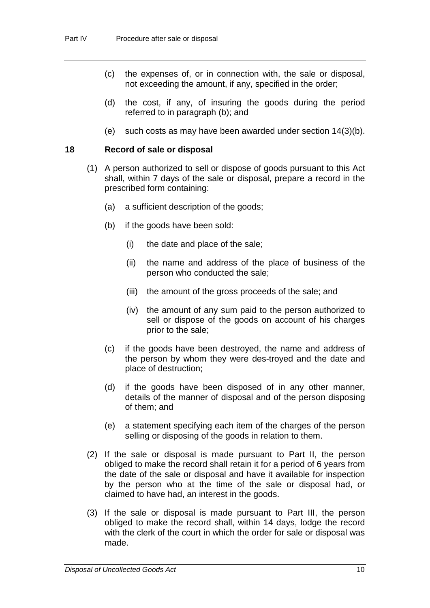- (c) the expenses of, or in connection with, the sale or disposal, not exceeding the amount, if any, specified in the order;
- (d) the cost, if any, of insuring the goods during the period referred to in paragraph (b); and
- (e) such costs as may have been awarded under section 14(3)(b).

#### **18 Record of sale or disposal**

- (1) A person authorized to sell or dispose of goods pursuant to this Act shall, within 7 days of the sale or disposal, prepare a record in the prescribed form containing:
	- (a) a sufficient description of the goods;
	- (b) if the goods have been sold:
		- (i) the date and place of the sale;
		- (ii) the name and address of the place of business of the person who conducted the sale;
		- (iii) the amount of the gross proceeds of the sale; and
		- (iv) the amount of any sum paid to the person authorized to sell or dispose of the goods on account of his charges prior to the sale;
	- (c) if the goods have been destroyed, the name and address of the person by whom they were des-troyed and the date and place of destruction;
	- (d) if the goods have been disposed of in any other manner, details of the manner of disposal and of the person disposing of them; and
	- (e) a statement specifying each item of the charges of the person selling or disposing of the goods in relation to them.
- (2) If the sale or disposal is made pursuant to Part II, the person obliged to make the record shall retain it for a period of 6 years from the date of the sale or disposal and have it available for inspection by the person who at the time of the sale or disposal had, or claimed to have had, an interest in the goods.
- (3) If the sale or disposal is made pursuant to Part III, the person obliged to make the record shall, within 14 days, lodge the record with the clerk of the court in which the order for sale or disposal was made.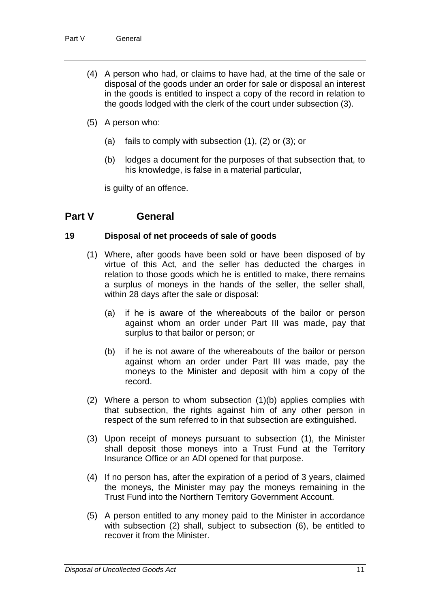- (4) A person who had, or claims to have had, at the time of the sale or disposal of the goods under an order for sale or disposal an interest in the goods is entitled to inspect a copy of the record in relation to the goods lodged with the clerk of the court under subsection (3).
- (5) A person who:
	- (a) fails to comply with subsection (1), (2) or (3); or
	- (b) lodges a document for the purposes of that subsection that, to his knowledge, is false in a material particular,

is guilty of an offence.

# **Part V General**

#### **19 Disposal of net proceeds of sale of goods**

- (1) Where, after goods have been sold or have been disposed of by virtue of this Act, and the seller has deducted the charges in relation to those goods which he is entitled to make, there remains a surplus of moneys in the hands of the seller, the seller shall, within 28 days after the sale or disposal:
	- (a) if he is aware of the whereabouts of the bailor or person against whom an order under Part III was made, pay that surplus to that bailor or person; or
	- (b) if he is not aware of the whereabouts of the bailor or person against whom an order under Part III was made, pay the moneys to the Minister and deposit with him a copy of the record.
- (2) Where a person to whom subsection (1)(b) applies complies with that subsection, the rights against him of any other person in respect of the sum referred to in that subsection are extinguished.
- (3) Upon receipt of moneys pursuant to subsection (1), the Minister shall deposit those moneys into a Trust Fund at the Territory Insurance Office or an ADI opened for that purpose.
- (4) If no person has, after the expiration of a period of 3 years, claimed the moneys, the Minister may pay the moneys remaining in the Trust Fund into the Northern Territory Government Account.
- (5) A person entitled to any money paid to the Minister in accordance with subsection (2) shall, subject to subsection (6), be entitled to recover it from the Minister.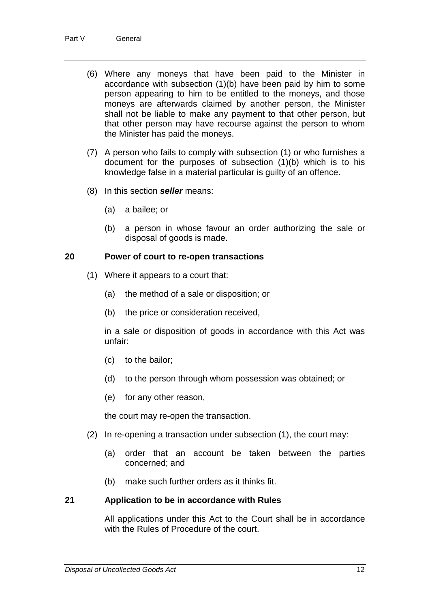- (6) Where any moneys that have been paid to the Minister in accordance with subsection (1)(b) have been paid by him to some person appearing to him to be entitled to the moneys, and those moneys are afterwards claimed by another person, the Minister shall not be liable to make any payment to that other person, but that other person may have recourse against the person to whom the Minister has paid the moneys.
- (7) A person who fails to comply with subsection (1) or who furnishes a document for the purposes of subsection (1)(b) which is to his knowledge false in a material particular is guilty of an offence.
- (8) In this section *seller* means:
	- (a) a bailee; or
	- (b) a person in whose favour an order authorizing the sale or disposal of goods is made.

#### **20 Power of court to re-open transactions**

- (1) Where it appears to a court that:
	- (a) the method of a sale or disposition; or
	- (b) the price or consideration received,

in a sale or disposition of goods in accordance with this Act was unfair:

- (c) to the bailor;
- (d) to the person through whom possession was obtained; or
- (e) for any other reason,

the court may re-open the transaction.

- (2) In re-opening a transaction under subsection (1), the court may:
	- (a) order that an account be taken between the parties concerned; and
	- (b) make such further orders as it thinks fit.

#### **21 Application to be in accordance with Rules**

All applications under this Act to the Court shall be in accordance with the Rules of Procedure of the court.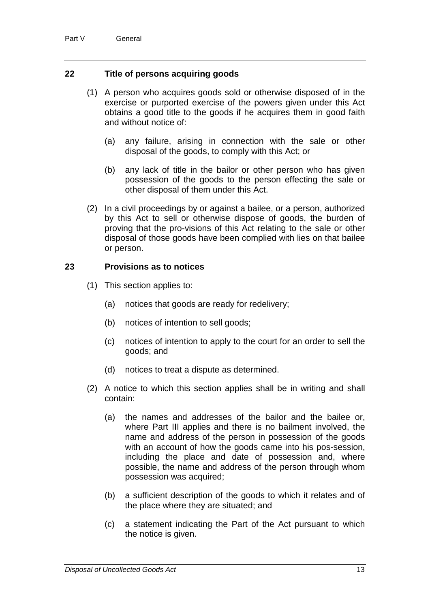## **22 Title of persons acquiring goods**

- (1) A person who acquires goods sold or otherwise disposed of in the exercise or purported exercise of the powers given under this Act obtains a good title to the goods if he acquires them in good faith and without notice of:
	- (a) any failure, arising in connection with the sale or other disposal of the goods, to comply with this Act; or
	- (b) any lack of title in the bailor or other person who has given possession of the goods to the person effecting the sale or other disposal of them under this Act.
- (2) In a civil proceedings by or against a bailee, or a person, authorized by this Act to sell or otherwise dispose of goods, the burden of proving that the pro-visions of this Act relating to the sale or other disposal of those goods have been complied with lies on that bailee or person.

## **23 Provisions as to notices**

- (1) This section applies to:
	- (a) notices that goods are ready for redelivery;
	- (b) notices of intention to sell goods;
	- (c) notices of intention to apply to the court for an order to sell the goods; and
	- (d) notices to treat a dispute as determined.
- (2) A notice to which this section applies shall be in writing and shall contain:
	- (a) the names and addresses of the bailor and the bailee or, where Part III applies and there is no bailment involved, the name and address of the person in possession of the goods with an account of how the goods came into his pos-session, including the place and date of possession and, where possible, the name and address of the person through whom possession was acquired;
	- (b) a sufficient description of the goods to which it relates and of the place where they are situated; and
	- (c) a statement indicating the Part of the Act pursuant to which the notice is given.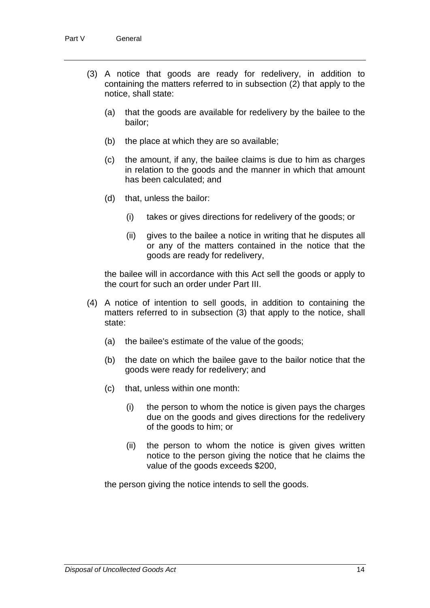- (3) A notice that goods are ready for redelivery, in addition to containing the matters referred to in subsection (2) that apply to the notice, shall state:
	- (a) that the goods are available for redelivery by the bailee to the bailor;
	- (b) the place at which they are so available;
	- (c) the amount, if any, the bailee claims is due to him as charges in relation to the goods and the manner in which that amount has been calculated; and
	- (d) that, unless the bailor:
		- (i) takes or gives directions for redelivery of the goods; or
		- (ii) gives to the bailee a notice in writing that he disputes all or any of the matters contained in the notice that the goods are ready for redelivery,

the bailee will in accordance with this Act sell the goods or apply to the court for such an order under Part III.

- (4) A notice of intention to sell goods, in addition to containing the matters referred to in subsection (3) that apply to the notice, shall state:
	- (a) the bailee's estimate of the value of the goods;
	- (b) the date on which the bailee gave to the bailor notice that the goods were ready for redelivery; and
	- (c) that, unless within one month:
		- (i) the person to whom the notice is given pays the charges due on the goods and gives directions for the redelivery of the goods to him; or
		- (ii) the person to whom the notice is given gives written notice to the person giving the notice that he claims the value of the goods exceeds \$200,

the person giving the notice intends to sell the goods.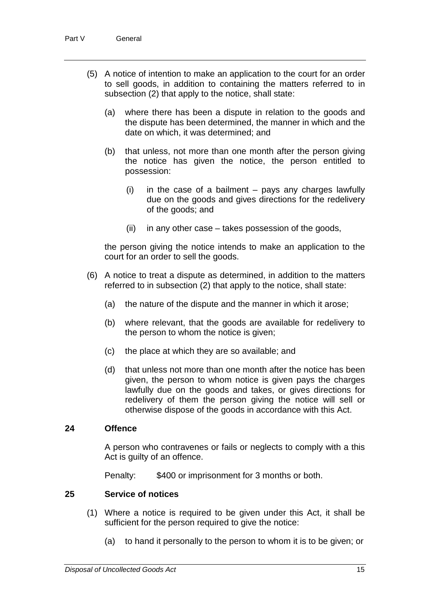- (5) A notice of intention to make an application to the court for an order to sell goods, in addition to containing the matters referred to in subsection (2) that apply to the notice, shall state:
	- (a) where there has been a dispute in relation to the goods and the dispute has been determined, the manner in which and the date on which, it was determined; and
	- (b) that unless, not more than one month after the person giving the notice has given the notice, the person entitled to possession:
		- (i) in the case of a bailment pays any charges lawfully due on the goods and gives directions for the redelivery of the goods; and
		- (ii) in any other case takes possession of the goods,

the person giving the notice intends to make an application to the court for an order to sell the goods.

- (6) A notice to treat a dispute as determined, in addition to the matters referred to in subsection (2) that apply to the notice, shall state:
	- (a) the nature of the dispute and the manner in which it arose;
	- (b) where relevant, that the goods are available for redelivery to the person to whom the notice is given;
	- (c) the place at which they are so available; and
	- (d) that unless not more than one month after the notice has been given, the person to whom notice is given pays the charges lawfully due on the goods and takes, or gives directions for redelivery of them the person giving the notice will sell or otherwise dispose of the goods in accordance with this Act.

#### **24 Offence**

A person who contravenes or fails or neglects to comply with a this Act is guilty of an offence.

Penalty: \$400 or imprisonment for 3 months or both.

## **25 Service of notices**

- (1) Where a notice is required to be given under this Act, it shall be sufficient for the person required to give the notice:
	- (a) to hand it personally to the person to whom it is to be given; or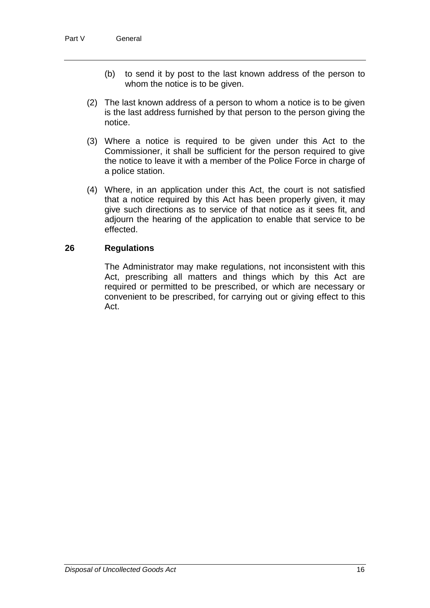- (b) to send it by post to the last known address of the person to whom the notice is to be given.
- (2) The last known address of a person to whom a notice is to be given is the last address furnished by that person to the person giving the notice.
- (3) Where a notice is required to be given under this Act to the Commissioner, it shall be sufficient for the person required to give the notice to leave it with a member of the Police Force in charge of a police station.
- (4) Where, in an application under this Act, the court is not satisfied that a notice required by this Act has been properly given, it may give such directions as to service of that notice as it sees fit, and adjourn the hearing of the application to enable that service to be effected.

#### **26 Regulations**

The Administrator may make regulations, not inconsistent with this Act, prescribing all matters and things which by this Act are required or permitted to be prescribed, or which are necessary or convenient to be prescribed, for carrying out or giving effect to this Act.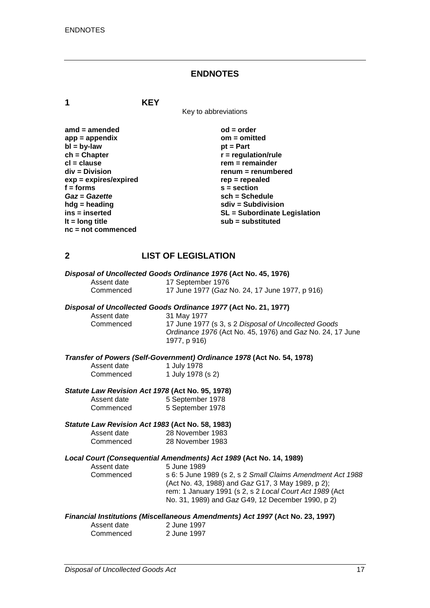#### **ENDNOTES**

**1 KEY**

Key to abbreviations

| $amd = amended$         | $od = order$                        |
|-------------------------|-------------------------------------|
| $app = appendix$        | $om = omitted$                      |
| $bl = by-law$           | $pt = Part$                         |
| $ch = Chapter$          | $r =$ regulation/rule               |
| $cl = clause$           | $rem = remainder$                   |
| $div = Division$        | renum = renumbered                  |
| $exp = expires/expired$ | $rep = repeated$                    |
| $f =$ forms             | $s = section$                       |
| Gaz = Gazette           | $sch = Schedule$                    |
| $h dg =$ heading        | $sdiv = Subdivision$                |
| ins = inserted          | <b>SL</b> = Subordinate Legislation |
| It = $long$ title       | sub = substituted                   |
| $nc = not commenced$    |                                     |

## **2 LIST OF LEGISLATION**

|             | Disposal of Uncollected Goods Ordinance 1976 (Act No. 45, 1976) |
|-------------|-----------------------------------------------------------------|
| Assent date | 17 September 1976                                               |
| Commenced   | 17 June 1977 (Gaz No. 24, 17 June 1977, p 916)                  |

# *Disposal of Uncollected Goods Ordinance 1977* **(Act No. 21, 1977)**

Assent date 31 May 1977<br>Commenced 17 June 1977

17 June 1977 (s 3, s 2 *Disposal of Uncollected Goods Ordinance 1976* (Act No. 45, 1976) and *Gaz* No. 24, 17 June 1977, p 916)

*Transfer of Powers (Self-Government) Ordinance 1978* **(Act No. 54, 1978)**

| Assent date | 1 July 1978       |
|-------------|-------------------|
| Commenced   | 1 July 1978 (s 2) |

#### *Statute Law Revision Act 1978* **(Act No. 95, 1978)**

| Assent date | 5 September 1978 |
|-------------|------------------|
| Commenced   | 5 September 1978 |

#### *Statute Law Revision Act 1983* **(Act No. 58, 1983)**

| Assent date | 28 November 1983 |
|-------------|------------------|
| Commenced   | 28 November 1983 |

# *Local Court (Consequential Amendments) Act 1989* **(Act No. 14, 1989)**

| Assent date | 5 June 1989                                                |
|-------------|------------------------------------------------------------|
| Commenced   | s 6: 5 June 1989 (s 2, s 2 Small Claims Amendment Act 1988 |
|             | (Act No. 43, 1988) and Gaz G17, 3 May 1989, p 2);          |
|             | rem: 1 January 1991 (s 2, s 2 Local Court Act 1989 (Act    |
|             | No. 31, 1989) and Gaz G49, 12 December 1990, p 2)          |
|             |                                                            |

#### *Financial Institutions (Miscellaneous Amendments) Act 1997* **(Act No. 23, 1997)**

| Assent date | 2 June 1997 |
|-------------|-------------|
| Commenced   | 2 June 1997 |